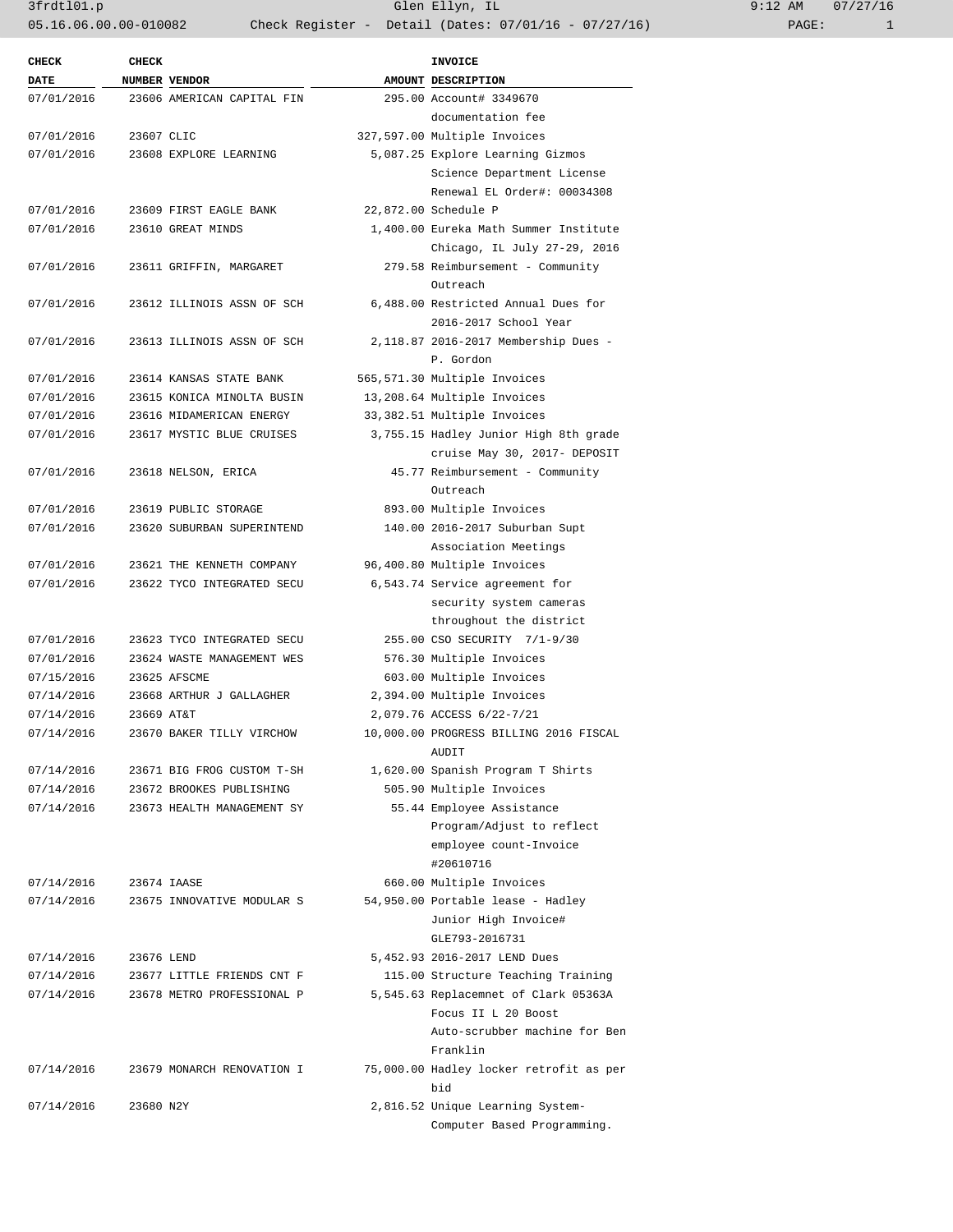| <b>CHECK</b>             | CHECK      |                            | <b>INVOICE</b>                          |
|--------------------------|------------|----------------------------|-----------------------------------------|
| <b>DATE</b>              |            | NUMBER VENDOR              | AMOUNT DESCRIPTION                      |
| 07/01/2016               |            | 23606 AMERICAN CAPITAL FIN | 295.00 Account# 3349670                 |
|                          |            |                            | documentation fee                       |
| 07/01/2016               | 23607 CLIC |                            | 327,597.00 Multiple Invoices            |
| 07/01/2016               |            | 23608 EXPLORE LEARNING     | 5,087.25 Explore Learning Gizmos        |
|                          |            |                            | Science Department License              |
|                          |            |                            | Renewal EL Order#: 00034308             |
| 07/01/2016               |            | 23609 FIRST EAGLE BANK     | 22,872.00 Schedule P                    |
| 07/01/2016               |            | 23610 GREAT MINDS          | 1,400.00 Eureka Math Summer Institute   |
|                          |            |                            | Chicago, IL July 27-29, 2016            |
| 07/01/2016               |            | 23611 GRIFFIN, MARGARET    | 279.58 Reimbursement - Community        |
|                          |            |                            | Outreach                                |
| 07/01/2016               |            | 23612 ILLINOIS ASSN OF SCH | 6,488.00 Restricted Annual Dues for     |
|                          |            |                            | 2016-2017 School Year                   |
| 07/01/2016               |            | 23613 ILLINOIS ASSN OF SCH | 2,118.87 2016-2017 Membership Dues -    |
|                          |            |                            | P. Gordon                               |
| 07/01/2016               |            | 23614 KANSAS STATE BANK    | 565,571.30 Multiple Invoices            |
| 07/01/2016               |            | 23615 KONICA MINOLTA BUSIN | 13,208.64 Multiple Invoices             |
| 07/01/2016               |            | 23616 MIDAMERICAN ENERGY   | 33,382.51 Multiple Invoices             |
| 07/01/2016               |            | 23617 MYSTIC BLUE CRUISES  | 3,755.15 Hadley Junior High 8th grade   |
|                          |            |                            | cruise May 30, 2017- DEPOSIT            |
| 07/01/2016               |            | 23618 NELSON, ERICA        | 45.77 Reimbursement - Community         |
|                          |            |                            | Outreach                                |
| 07/01/2016               |            | 23619 PUBLIC STORAGE       | 893.00 Multiple Invoices                |
| 07/01/2016               |            | 23620 SUBURBAN SUPERINTEND | 140.00 2016-2017 Suburban Supt          |
|                          |            |                            | Association Meetings                    |
| 07/01/2016               |            | 23621 THE KENNETH COMPANY  | 96,400.80 Multiple Invoices             |
| 07/01/2016               |            | 23622 TYCO INTEGRATED SECU | 6,543.74 Service agreement for          |
|                          |            |                            | security system cameras                 |
|                          |            |                            |                                         |
|                          |            | 23623 TYCO INTEGRATED SECU | throughout the district                 |
| 07/01/2016<br>07/01/2016 |            |                            | 255.00 CSO SECURITY 7/1-9/30            |
|                          |            | 23624 WASTE MANAGEMENT WES | 576.30 Multiple Invoices                |
| 07/15/2016               |            | 23625 AFSCME               | 603.00 Multiple Invoices                |
| 07/14/2016               |            | 23668 ARTHUR J GALLAGHER   | 2,394.00 Multiple Invoices              |
| 07/14/2016               | 23669 AT&T |                            | 2,079.76 ACCESS 6/22-7/21               |
| 07/14/2016               |            | 23670 BAKER TILLY VIRCHOW  | 10,000.00 PROGRESS BILLING 2016 FISCAL  |
|                          |            |                            | AUDIT                                   |
| 07/14/2016               |            | 23671 BIG FROG CUSTOM T-SH | 1,620.00 Spanish Program T Shirts       |
| 07/14/2016               |            | 23672 BROOKES PUBLISHING   | 505.90 Multiple Invoices                |
| 07/14/2016               |            | 23673 HEALTH MANAGEMENT SY | 55.44 Employee Assistance               |
|                          |            |                            | Program/Adjust to reflect               |
|                          |            |                            | employee count-Invoice                  |
|                          |            |                            | #20610716                               |
| 07/14/2016               |            | 23674 IAASE                | 660.00 Multiple Invoices                |
| 07/14/2016               |            | 23675 INNOVATIVE MODULAR S | 54,950.00 Portable lease - Hadley       |
|                          |            |                            | Junior High Invoice#                    |
|                          |            |                            | GLE793-2016731                          |
| 07/14/2016               | 23676 LEND |                            | 5,452.93 2016-2017 LEND Dues            |
| 07/14/2016               |            | 23677 LITTLE FRIENDS CNT F | 115.00 Structure Teaching Training      |
| 07/14/2016               |            | 23678 METRO PROFESSIONAL P | 5,545.63 Replacemnet of Clark 05363A    |
|                          |            |                            | Focus II L 20 Boost                     |
|                          |            |                            | Auto-scrubber machine for Ben           |
|                          |            |                            | Franklin                                |
| 07/14/2016               |            | 23679 MONARCH RENOVATION I | 75,000.00 Hadley locker retrofit as per |
|                          |            |                            | bid                                     |
| 07/14/2016               | 23680 N2Y  |                            | 2,816.52 Unique Learning System-        |
|                          |            |                            | Computer Based Programming.             |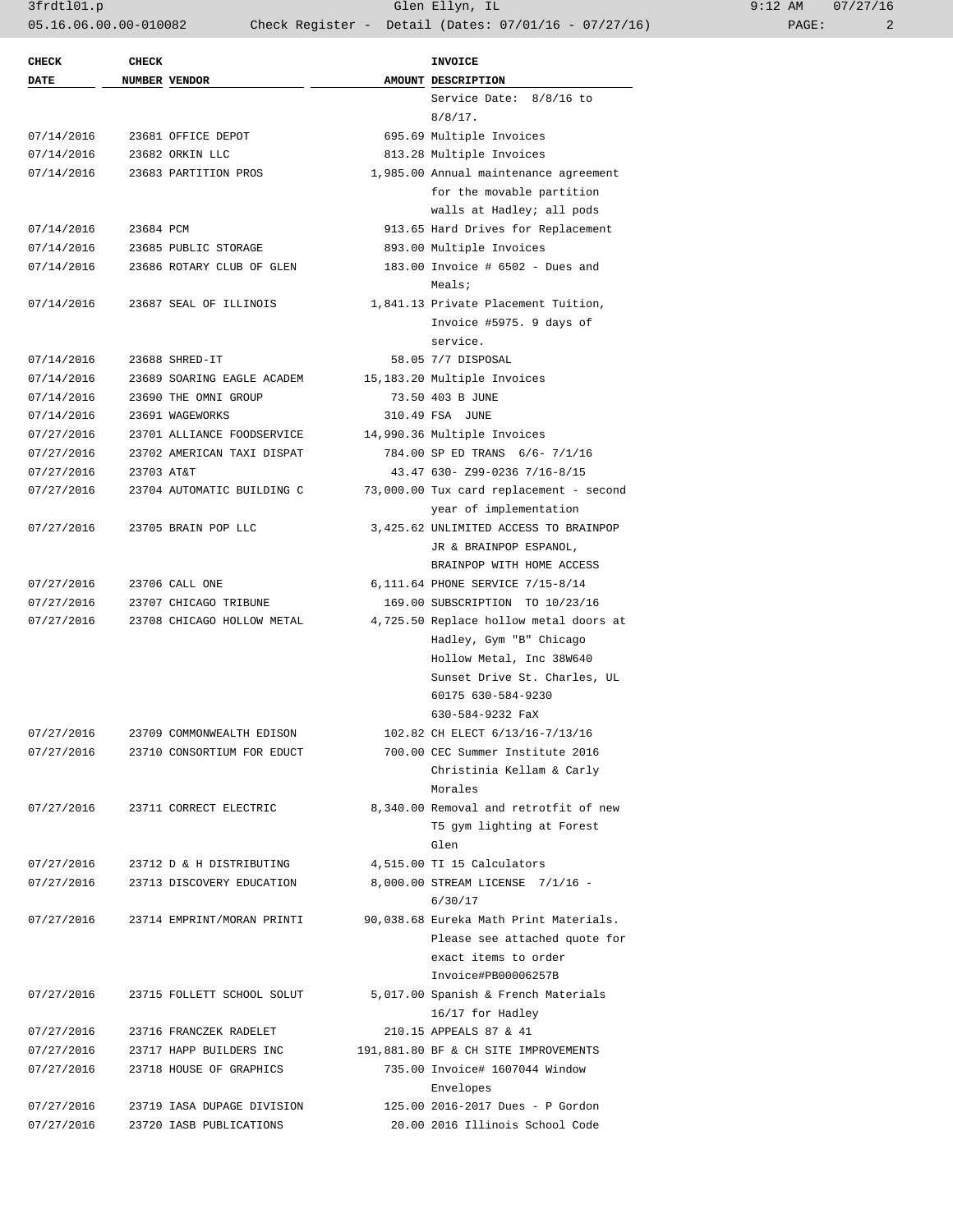3frdtl01.p Glen Ellyn, IL 9:12 AM 07/27/16 05.16.06.00.00-010082 Check Register - Detail (Dates: 07/01/16 - 07/27/16) PAGE: 2

| <b>CHECK</b> | <b>CHECK</b> |                            | <b>INVOICE</b>                          |
|--------------|--------------|----------------------------|-----------------------------------------|
| <b>DATE</b>  |              | <b>NUMBER VENDOR</b>       | AMOUNT DESCRIPTION                      |
|              |              |                            | Service Date: 8/8/16 to                 |
|              |              |                            | $8/8/17$ .                              |
| 07/14/2016   |              | 23681 OFFICE DEPOT         | 695.69 Multiple Invoices                |
| 07/14/2016   |              | 23682 ORKIN LLC            | 813.28 Multiple Invoices                |
| 07/14/2016   |              | 23683 PARTITION PROS       | 1,985.00 Annual maintenance agreement   |
|              |              |                            | for the movable partition               |
|              |              |                            | walls at Hadley; all pods               |
| 07/14/2016   | 23684 PCM    |                            | 913.65 Hard Drives for Replacement      |
| 07/14/2016   |              | 23685 PUBLIC STORAGE       | 893.00 Multiple Invoices                |
| 07/14/2016   |              | 23686 ROTARY CLUB OF GLEN  | 183.00 Invoice # 6502 - Dues and        |
|              |              |                            | Meals;                                  |
| 07/14/2016   |              | 23687 SEAL OF ILLINOIS     | 1,841.13 Private Placement Tuition,     |
|              |              |                            | Invoice #5975. 9 days of                |
|              |              |                            | service.                                |
| 07/14/2016   |              | 23688 SHRED-IT             | 58.05 7/7 DISPOSAL                      |
| 07/14/2016   |              | 23689 SOARING EAGLE ACADEM | 15,183.20 Multiple Invoices             |
| 07/14/2016   |              | 23690 THE OMNI GROUP       | 73.50 403 B JUNE                        |
| 07/14/2016   |              | 23691 WAGEWORKS            | 310.49 FSA JUNE                         |
| 07/27/2016   |              | 23701 ALLIANCE FOODSERVICE | 14,990.36 Multiple Invoices             |
| 07/27/2016   |              | 23702 AMERICAN TAXI DISPAT | 784.00 SP ED TRANS 6/6- 7/1/16          |
| 07/27/2016   | 23703 AT&T   |                            | 43.47 630- Z99-0236 7/16-8/15           |
| 07/27/2016   |              | 23704 AUTOMATIC BUILDING C | 73,000.00 Tux card replacement - second |
|              |              |                            | year of implementation                  |
| 07/27/2016   |              | 23705 BRAIN POP LLC        | 3,425.62 UNLIMITED ACCESS TO BRAINPOP   |
|              |              |                            | JR & BRAINPOP ESPANOL,                  |
|              |              |                            | BRAINPOP WITH HOME ACCESS               |
| 07/27/2016   |              | 23706 CALL ONE             | 6,111.64 PHONE SERVICE 7/15-8/14        |
| 07/27/2016   |              | 23707 CHICAGO TRIBUNE      | 169.00 SUBSCRIPTION TO 10/23/16         |
| 07/27/2016   |              | 23708 CHICAGO HOLLOW METAL | 4,725.50 Replace hollow metal doors at  |
|              |              |                            | Hadley, Gym "B" Chicago                 |
|              |              |                            | Hollow Metal, Inc 38W640                |
|              |              |                            | Sunset Drive St. Charles, UL            |
|              |              |                            | 60175 630-584-9230                      |
|              |              |                            | 630-584-9232 FaX                        |
| 07/27/2016   |              | 23709 COMMONWEALTH EDISON  | 102.82 CH ELECT 6/13/16-7/13/16         |
| 07/27/2016   |              | 23710 CONSORTIUM FOR EDUCT | 700.00 CEC Summer Institute 2016        |
|              |              |                            | Christinia Kellam & Carly               |
|              |              |                            | Morales                                 |
| 07/27/2016   |              | 23711 CORRECT ELECTRIC     | 8,340.00 Removal and retrotfit of new   |
|              |              |                            | T5 gym lighting at Forest               |
|              |              |                            | Glen                                    |
| 07/27/2016   |              | 23712 D & H DISTRIBUTING   | 4,515.00 TI 15 Calculators              |
| 07/27/2016   |              | 23713 DISCOVERY EDUCATION  | 8,000.00 STREAM LICENSE 7/1/16 -        |
|              |              |                            | 6/30/17                                 |
| 07/27/2016   |              | 23714 EMPRINT/MORAN PRINTI | 90,038.68 Eureka Math Print Materials.  |
|              |              |                            | Please see attached quote for           |
|              |              |                            | exact items to order                    |
|              |              |                            | Invoice#PB00006257B                     |
| 07/27/2016   |              | 23715 FOLLETT SCHOOL SOLUT | 5,017.00 Spanish & French Materials     |
|              |              |                            | 16/17 for Hadley                        |
| 07/27/2016   |              | 23716 FRANCZEK RADELET     | 210.15 APPEALS 87 & 41                  |
| 07/27/2016   |              | 23717 HAPP BUILDERS INC    | 191,881.80 BF & CH SITE IMPROVEMENTS    |
| 07/27/2016   |              | 23718 HOUSE OF GRAPHICS    | 735.00 Invoice# 1607044 Window          |
|              |              |                            | Envelopes                               |
| 07/27/2016   |              | 23719 IASA DUPAGE DIVISION | 125.00 2016-2017 Dues - P Gordon        |
| 07/27/2016   |              | 23720 IASB PUBLICATIONS    | 20.00 2016 Illinois School Code         |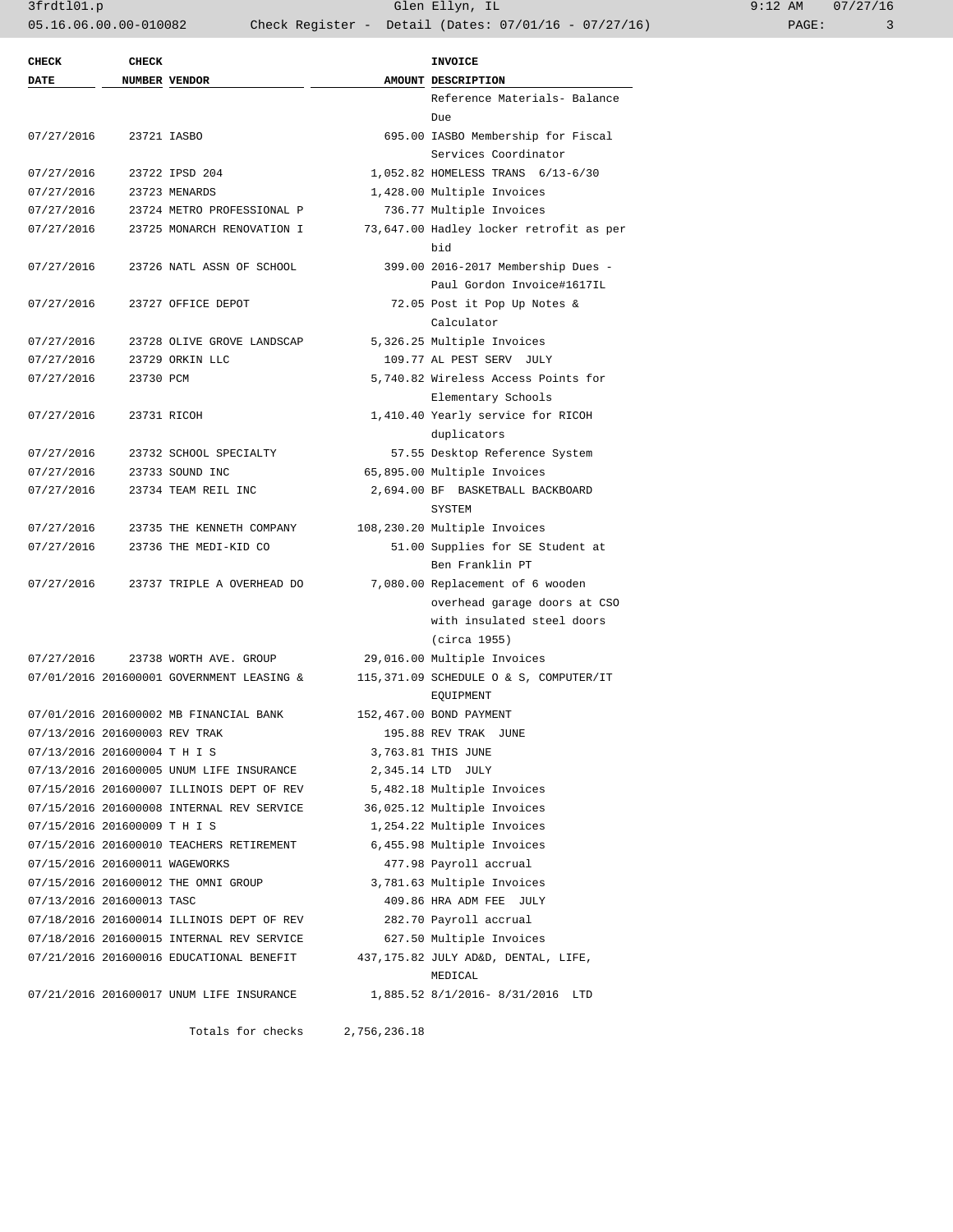3frdtl01.p Glen Ellyn, IL 9:12 AM 07/27/16 05.16.06.00.00-010082 Check Register - Detail (Dates: 07/01/16 - 07/27/16) PAGE: 3

| NUMBER VENDOR<br>AMOUNT DESCRIPTION<br>Reference Materials- Balance<br>Due<br>07/27/2016<br>23721 IASBO<br>695.00 IASBO Membership for Fiscal<br>Services Coordinator<br>23722 IPSD 204<br>1,052.82 HOMELESS TRANS 6/13-6/30<br>07/27/2016<br>1,428.00 Multiple Invoices<br>07/27/2016<br>23723 MENARDS<br>07/27/2016<br>736.77 Multiple Invoices<br>23724 METRO PROFESSIONAL P<br>07/27/2016<br>73,647.00 Hadley locker retrofit as per<br>23725 MONARCH RENOVATION I<br>bid<br>399.00 2016-2017 Membership Dues -<br>07/27/2016<br>23726 NATL ASSN OF SCHOOL<br>Paul Gordon Invoice#1617IL<br>72.05 Post it Pop Up Notes &<br>07/27/2016<br>23727 OFFICE DEPOT<br>Calculator<br>5,326.25 Multiple Invoices<br>07/27/2016<br>23728 OLIVE GROVE LANDSCAP<br>109.77 AL PEST SERV JULY<br>07/27/2016<br>23729 ORKIN LLC<br>07/27/2016<br>5,740.82 Wireless Access Points for<br>23730 PCM<br>Elementary Schools<br>1,410.40 Yearly service for RICOH<br>07/27/2016<br>23731 RICOH<br>duplicators<br>57.55 Desktop Reference System<br>07/27/2016<br>23732 SCHOOL SPECIALTY<br>65,895.00 Multiple Invoices<br>07/27/2016<br>23733 SOUND INC<br>07/27/2016<br>2,694.00 BF BASKETBALL BACKBOARD<br>23734 TEAM REIL INC<br>SYSTEM<br>07/27/2016<br>23735 THE KENNETH COMPANY<br>108,230.20 Multiple Invoices<br>07/27/2016<br>51.00 Supplies for SE Student at<br>23736 THE MEDI-KID CO<br>Ben Franklin PT<br>7,080.00 Replacement of 6 wooden<br>07/27/2016<br>23737 TRIPLE A OVERHEAD DO<br>overhead garage doors at CSO<br>with insulated steel doors<br>(circa 1955)<br>07/27/2016<br>23738 WORTH AVE. GROUP<br>29,016.00 Multiple Invoices<br>115,371.09 SCHEDULE O & S, COMPUTER/IT<br>07/01/2016 201600001 GOVERNMENT LEASING &<br>EQUIPMENT<br>07/01/2016 201600002 MB FINANCIAL BANK<br>152,467.00 BOND PAYMENT<br>07/13/2016 201600003 REV TRAK<br>195.88 REV TRAK JUNE<br>07/13/2016 201600004 T H I S<br>3,763.81 THIS JUNE<br>07/13/2016 201600005 UNUM LIFE INSURANCE<br>2,345.14 LTD JULY<br>07/15/2016 201600007 ILLINOIS DEPT OF REV<br>5,482.18 Multiple Invoices<br>07/15/2016 201600008 INTERNAL REV SERVICE<br>36,025.12 Multiple Invoices<br>07/15/2016 201600009 TH IS<br>1,254.22 Multiple Invoices<br>07/15/2016 201600010 TEACHERS RETIREMENT<br>6,455.98 Multiple Invoices<br>07/15/2016 201600011 WAGEWORKS<br>477.98 Payroll accrual<br>07/15/2016 201600012 THE OMNI GROUP<br>3,781.63 Multiple Invoices<br>07/13/2016 201600013 TASC<br>409.86 HRA ADM FEE JULY<br>07/18/2016 201600014 ILLINOIS DEPT OF REV<br>282.70 Payroll accrual<br>07/18/2016 201600015 INTERNAL REV SERVICE<br>627.50 Multiple Invoices<br>07/21/2016 201600016 EDUCATIONAL BENEFIT<br>437,175.82 JULY AD&D, DENTAL, LIFE,<br>MEDICAL<br>07/21/2016 201600017 UNUM LIFE INSURANCE<br>1,885.52 8/1/2016-8/31/2016 LTD | <b>CHECK</b> | <b>CHECK</b> |  | <b>INVOICE</b> |
|-----------------------------------------------------------------------------------------------------------------------------------------------------------------------------------------------------------------------------------------------------------------------------------------------------------------------------------------------------------------------------------------------------------------------------------------------------------------------------------------------------------------------------------------------------------------------------------------------------------------------------------------------------------------------------------------------------------------------------------------------------------------------------------------------------------------------------------------------------------------------------------------------------------------------------------------------------------------------------------------------------------------------------------------------------------------------------------------------------------------------------------------------------------------------------------------------------------------------------------------------------------------------------------------------------------------------------------------------------------------------------------------------------------------------------------------------------------------------------------------------------------------------------------------------------------------------------------------------------------------------------------------------------------------------------------------------------------------------------------------------------------------------------------------------------------------------------------------------------------------------------------------------------------------------------------------------------------------------------------------------------------------------------------------------------------------------------------------------------------------------------------------------------------------------------------------------------------------------------------------------------------------------------------------------------------------------------------------------------------------------------------------------------------------------------------------------------------------------------------------------------------------------------------------------------------------------------------------------------------------------------------------------------------------------------------------------------------------------------------------------------------------------------------------------------------------------|--------------|--------------|--|----------------|
|                                                                                                                                                                                                                                                                                                                                                                                                                                                                                                                                                                                                                                                                                                                                                                                                                                                                                                                                                                                                                                                                                                                                                                                                                                                                                                                                                                                                                                                                                                                                                                                                                                                                                                                                                                                                                                                                                                                                                                                                                                                                                                                                                                                                                                                                                                                                                                                                                                                                                                                                                                                                                                                                                                                                                                                                                       | <b>DATE</b>  |              |  |                |
|                                                                                                                                                                                                                                                                                                                                                                                                                                                                                                                                                                                                                                                                                                                                                                                                                                                                                                                                                                                                                                                                                                                                                                                                                                                                                                                                                                                                                                                                                                                                                                                                                                                                                                                                                                                                                                                                                                                                                                                                                                                                                                                                                                                                                                                                                                                                                                                                                                                                                                                                                                                                                                                                                                                                                                                                                       |              |              |  |                |
|                                                                                                                                                                                                                                                                                                                                                                                                                                                                                                                                                                                                                                                                                                                                                                                                                                                                                                                                                                                                                                                                                                                                                                                                                                                                                                                                                                                                                                                                                                                                                                                                                                                                                                                                                                                                                                                                                                                                                                                                                                                                                                                                                                                                                                                                                                                                                                                                                                                                                                                                                                                                                                                                                                                                                                                                                       |              |              |  |                |
|                                                                                                                                                                                                                                                                                                                                                                                                                                                                                                                                                                                                                                                                                                                                                                                                                                                                                                                                                                                                                                                                                                                                                                                                                                                                                                                                                                                                                                                                                                                                                                                                                                                                                                                                                                                                                                                                                                                                                                                                                                                                                                                                                                                                                                                                                                                                                                                                                                                                                                                                                                                                                                                                                                                                                                                                                       |              |              |  |                |
|                                                                                                                                                                                                                                                                                                                                                                                                                                                                                                                                                                                                                                                                                                                                                                                                                                                                                                                                                                                                                                                                                                                                                                                                                                                                                                                                                                                                                                                                                                                                                                                                                                                                                                                                                                                                                                                                                                                                                                                                                                                                                                                                                                                                                                                                                                                                                                                                                                                                                                                                                                                                                                                                                                                                                                                                                       |              |              |  |                |
|                                                                                                                                                                                                                                                                                                                                                                                                                                                                                                                                                                                                                                                                                                                                                                                                                                                                                                                                                                                                                                                                                                                                                                                                                                                                                                                                                                                                                                                                                                                                                                                                                                                                                                                                                                                                                                                                                                                                                                                                                                                                                                                                                                                                                                                                                                                                                                                                                                                                                                                                                                                                                                                                                                                                                                                                                       |              |              |  |                |
|                                                                                                                                                                                                                                                                                                                                                                                                                                                                                                                                                                                                                                                                                                                                                                                                                                                                                                                                                                                                                                                                                                                                                                                                                                                                                                                                                                                                                                                                                                                                                                                                                                                                                                                                                                                                                                                                                                                                                                                                                                                                                                                                                                                                                                                                                                                                                                                                                                                                                                                                                                                                                                                                                                                                                                                                                       |              |              |  |                |
|                                                                                                                                                                                                                                                                                                                                                                                                                                                                                                                                                                                                                                                                                                                                                                                                                                                                                                                                                                                                                                                                                                                                                                                                                                                                                                                                                                                                                                                                                                                                                                                                                                                                                                                                                                                                                                                                                                                                                                                                                                                                                                                                                                                                                                                                                                                                                                                                                                                                                                                                                                                                                                                                                                                                                                                                                       |              |              |  |                |
|                                                                                                                                                                                                                                                                                                                                                                                                                                                                                                                                                                                                                                                                                                                                                                                                                                                                                                                                                                                                                                                                                                                                                                                                                                                                                                                                                                                                                                                                                                                                                                                                                                                                                                                                                                                                                                                                                                                                                                                                                                                                                                                                                                                                                                                                                                                                                                                                                                                                                                                                                                                                                                                                                                                                                                                                                       |              |              |  |                |
|                                                                                                                                                                                                                                                                                                                                                                                                                                                                                                                                                                                                                                                                                                                                                                                                                                                                                                                                                                                                                                                                                                                                                                                                                                                                                                                                                                                                                                                                                                                                                                                                                                                                                                                                                                                                                                                                                                                                                                                                                                                                                                                                                                                                                                                                                                                                                                                                                                                                                                                                                                                                                                                                                                                                                                                                                       |              |              |  |                |
|                                                                                                                                                                                                                                                                                                                                                                                                                                                                                                                                                                                                                                                                                                                                                                                                                                                                                                                                                                                                                                                                                                                                                                                                                                                                                                                                                                                                                                                                                                                                                                                                                                                                                                                                                                                                                                                                                                                                                                                                                                                                                                                                                                                                                                                                                                                                                                                                                                                                                                                                                                                                                                                                                                                                                                                                                       |              |              |  |                |
|                                                                                                                                                                                                                                                                                                                                                                                                                                                                                                                                                                                                                                                                                                                                                                                                                                                                                                                                                                                                                                                                                                                                                                                                                                                                                                                                                                                                                                                                                                                                                                                                                                                                                                                                                                                                                                                                                                                                                                                                                                                                                                                                                                                                                                                                                                                                                                                                                                                                                                                                                                                                                                                                                                                                                                                                                       |              |              |  |                |
|                                                                                                                                                                                                                                                                                                                                                                                                                                                                                                                                                                                                                                                                                                                                                                                                                                                                                                                                                                                                                                                                                                                                                                                                                                                                                                                                                                                                                                                                                                                                                                                                                                                                                                                                                                                                                                                                                                                                                                                                                                                                                                                                                                                                                                                                                                                                                                                                                                                                                                                                                                                                                                                                                                                                                                                                                       |              |              |  |                |
|                                                                                                                                                                                                                                                                                                                                                                                                                                                                                                                                                                                                                                                                                                                                                                                                                                                                                                                                                                                                                                                                                                                                                                                                                                                                                                                                                                                                                                                                                                                                                                                                                                                                                                                                                                                                                                                                                                                                                                                                                                                                                                                                                                                                                                                                                                                                                                                                                                                                                                                                                                                                                                                                                                                                                                                                                       |              |              |  |                |
|                                                                                                                                                                                                                                                                                                                                                                                                                                                                                                                                                                                                                                                                                                                                                                                                                                                                                                                                                                                                                                                                                                                                                                                                                                                                                                                                                                                                                                                                                                                                                                                                                                                                                                                                                                                                                                                                                                                                                                                                                                                                                                                                                                                                                                                                                                                                                                                                                                                                                                                                                                                                                                                                                                                                                                                                                       |              |              |  |                |
|                                                                                                                                                                                                                                                                                                                                                                                                                                                                                                                                                                                                                                                                                                                                                                                                                                                                                                                                                                                                                                                                                                                                                                                                                                                                                                                                                                                                                                                                                                                                                                                                                                                                                                                                                                                                                                                                                                                                                                                                                                                                                                                                                                                                                                                                                                                                                                                                                                                                                                                                                                                                                                                                                                                                                                                                                       |              |              |  |                |
|                                                                                                                                                                                                                                                                                                                                                                                                                                                                                                                                                                                                                                                                                                                                                                                                                                                                                                                                                                                                                                                                                                                                                                                                                                                                                                                                                                                                                                                                                                                                                                                                                                                                                                                                                                                                                                                                                                                                                                                                                                                                                                                                                                                                                                                                                                                                                                                                                                                                                                                                                                                                                                                                                                                                                                                                                       |              |              |  |                |
|                                                                                                                                                                                                                                                                                                                                                                                                                                                                                                                                                                                                                                                                                                                                                                                                                                                                                                                                                                                                                                                                                                                                                                                                                                                                                                                                                                                                                                                                                                                                                                                                                                                                                                                                                                                                                                                                                                                                                                                                                                                                                                                                                                                                                                                                                                                                                                                                                                                                                                                                                                                                                                                                                                                                                                                                                       |              |              |  |                |
|                                                                                                                                                                                                                                                                                                                                                                                                                                                                                                                                                                                                                                                                                                                                                                                                                                                                                                                                                                                                                                                                                                                                                                                                                                                                                                                                                                                                                                                                                                                                                                                                                                                                                                                                                                                                                                                                                                                                                                                                                                                                                                                                                                                                                                                                                                                                                                                                                                                                                                                                                                                                                                                                                                                                                                                                                       |              |              |  |                |
|                                                                                                                                                                                                                                                                                                                                                                                                                                                                                                                                                                                                                                                                                                                                                                                                                                                                                                                                                                                                                                                                                                                                                                                                                                                                                                                                                                                                                                                                                                                                                                                                                                                                                                                                                                                                                                                                                                                                                                                                                                                                                                                                                                                                                                                                                                                                                                                                                                                                                                                                                                                                                                                                                                                                                                                                                       |              |              |  |                |
|                                                                                                                                                                                                                                                                                                                                                                                                                                                                                                                                                                                                                                                                                                                                                                                                                                                                                                                                                                                                                                                                                                                                                                                                                                                                                                                                                                                                                                                                                                                                                                                                                                                                                                                                                                                                                                                                                                                                                                                                                                                                                                                                                                                                                                                                                                                                                                                                                                                                                                                                                                                                                                                                                                                                                                                                                       |              |              |  |                |
|                                                                                                                                                                                                                                                                                                                                                                                                                                                                                                                                                                                                                                                                                                                                                                                                                                                                                                                                                                                                                                                                                                                                                                                                                                                                                                                                                                                                                                                                                                                                                                                                                                                                                                                                                                                                                                                                                                                                                                                                                                                                                                                                                                                                                                                                                                                                                                                                                                                                                                                                                                                                                                                                                                                                                                                                                       |              |              |  |                |
|                                                                                                                                                                                                                                                                                                                                                                                                                                                                                                                                                                                                                                                                                                                                                                                                                                                                                                                                                                                                                                                                                                                                                                                                                                                                                                                                                                                                                                                                                                                                                                                                                                                                                                                                                                                                                                                                                                                                                                                                                                                                                                                                                                                                                                                                                                                                                                                                                                                                                                                                                                                                                                                                                                                                                                                                                       |              |              |  |                |
|                                                                                                                                                                                                                                                                                                                                                                                                                                                                                                                                                                                                                                                                                                                                                                                                                                                                                                                                                                                                                                                                                                                                                                                                                                                                                                                                                                                                                                                                                                                                                                                                                                                                                                                                                                                                                                                                                                                                                                                                                                                                                                                                                                                                                                                                                                                                                                                                                                                                                                                                                                                                                                                                                                                                                                                                                       |              |              |  |                |
|                                                                                                                                                                                                                                                                                                                                                                                                                                                                                                                                                                                                                                                                                                                                                                                                                                                                                                                                                                                                                                                                                                                                                                                                                                                                                                                                                                                                                                                                                                                                                                                                                                                                                                                                                                                                                                                                                                                                                                                                                                                                                                                                                                                                                                                                                                                                                                                                                                                                                                                                                                                                                                                                                                                                                                                                                       |              |              |  |                |
|                                                                                                                                                                                                                                                                                                                                                                                                                                                                                                                                                                                                                                                                                                                                                                                                                                                                                                                                                                                                                                                                                                                                                                                                                                                                                                                                                                                                                                                                                                                                                                                                                                                                                                                                                                                                                                                                                                                                                                                                                                                                                                                                                                                                                                                                                                                                                                                                                                                                                                                                                                                                                                                                                                                                                                                                                       |              |              |  |                |
|                                                                                                                                                                                                                                                                                                                                                                                                                                                                                                                                                                                                                                                                                                                                                                                                                                                                                                                                                                                                                                                                                                                                                                                                                                                                                                                                                                                                                                                                                                                                                                                                                                                                                                                                                                                                                                                                                                                                                                                                                                                                                                                                                                                                                                                                                                                                                                                                                                                                                                                                                                                                                                                                                                                                                                                                                       |              |              |  |                |
|                                                                                                                                                                                                                                                                                                                                                                                                                                                                                                                                                                                                                                                                                                                                                                                                                                                                                                                                                                                                                                                                                                                                                                                                                                                                                                                                                                                                                                                                                                                                                                                                                                                                                                                                                                                                                                                                                                                                                                                                                                                                                                                                                                                                                                                                                                                                                                                                                                                                                                                                                                                                                                                                                                                                                                                                                       |              |              |  |                |
|                                                                                                                                                                                                                                                                                                                                                                                                                                                                                                                                                                                                                                                                                                                                                                                                                                                                                                                                                                                                                                                                                                                                                                                                                                                                                                                                                                                                                                                                                                                                                                                                                                                                                                                                                                                                                                                                                                                                                                                                                                                                                                                                                                                                                                                                                                                                                                                                                                                                                                                                                                                                                                                                                                                                                                                                                       |              |              |  |                |
|                                                                                                                                                                                                                                                                                                                                                                                                                                                                                                                                                                                                                                                                                                                                                                                                                                                                                                                                                                                                                                                                                                                                                                                                                                                                                                                                                                                                                                                                                                                                                                                                                                                                                                                                                                                                                                                                                                                                                                                                                                                                                                                                                                                                                                                                                                                                                                                                                                                                                                                                                                                                                                                                                                                                                                                                                       |              |              |  |                |
|                                                                                                                                                                                                                                                                                                                                                                                                                                                                                                                                                                                                                                                                                                                                                                                                                                                                                                                                                                                                                                                                                                                                                                                                                                                                                                                                                                                                                                                                                                                                                                                                                                                                                                                                                                                                                                                                                                                                                                                                                                                                                                                                                                                                                                                                                                                                                                                                                                                                                                                                                                                                                                                                                                                                                                                                                       |              |              |  |                |
|                                                                                                                                                                                                                                                                                                                                                                                                                                                                                                                                                                                                                                                                                                                                                                                                                                                                                                                                                                                                                                                                                                                                                                                                                                                                                                                                                                                                                                                                                                                                                                                                                                                                                                                                                                                                                                                                                                                                                                                                                                                                                                                                                                                                                                                                                                                                                                                                                                                                                                                                                                                                                                                                                                                                                                                                                       |              |              |  |                |
|                                                                                                                                                                                                                                                                                                                                                                                                                                                                                                                                                                                                                                                                                                                                                                                                                                                                                                                                                                                                                                                                                                                                                                                                                                                                                                                                                                                                                                                                                                                                                                                                                                                                                                                                                                                                                                                                                                                                                                                                                                                                                                                                                                                                                                                                                                                                                                                                                                                                                                                                                                                                                                                                                                                                                                                                                       |              |              |  |                |
|                                                                                                                                                                                                                                                                                                                                                                                                                                                                                                                                                                                                                                                                                                                                                                                                                                                                                                                                                                                                                                                                                                                                                                                                                                                                                                                                                                                                                                                                                                                                                                                                                                                                                                                                                                                                                                                                                                                                                                                                                                                                                                                                                                                                                                                                                                                                                                                                                                                                                                                                                                                                                                                                                                                                                                                                                       |              |              |  |                |
|                                                                                                                                                                                                                                                                                                                                                                                                                                                                                                                                                                                                                                                                                                                                                                                                                                                                                                                                                                                                                                                                                                                                                                                                                                                                                                                                                                                                                                                                                                                                                                                                                                                                                                                                                                                                                                                                                                                                                                                                                                                                                                                                                                                                                                                                                                                                                                                                                                                                                                                                                                                                                                                                                                                                                                                                                       |              |              |  |                |
|                                                                                                                                                                                                                                                                                                                                                                                                                                                                                                                                                                                                                                                                                                                                                                                                                                                                                                                                                                                                                                                                                                                                                                                                                                                                                                                                                                                                                                                                                                                                                                                                                                                                                                                                                                                                                                                                                                                                                                                                                                                                                                                                                                                                                                                                                                                                                                                                                                                                                                                                                                                                                                                                                                                                                                                                                       |              |              |  |                |
|                                                                                                                                                                                                                                                                                                                                                                                                                                                                                                                                                                                                                                                                                                                                                                                                                                                                                                                                                                                                                                                                                                                                                                                                                                                                                                                                                                                                                                                                                                                                                                                                                                                                                                                                                                                                                                                                                                                                                                                                                                                                                                                                                                                                                                                                                                                                                                                                                                                                                                                                                                                                                                                                                                                                                                                                                       |              |              |  |                |
|                                                                                                                                                                                                                                                                                                                                                                                                                                                                                                                                                                                                                                                                                                                                                                                                                                                                                                                                                                                                                                                                                                                                                                                                                                                                                                                                                                                                                                                                                                                                                                                                                                                                                                                                                                                                                                                                                                                                                                                                                                                                                                                                                                                                                                                                                                                                                                                                                                                                                                                                                                                                                                                                                                                                                                                                                       |              |              |  |                |
|                                                                                                                                                                                                                                                                                                                                                                                                                                                                                                                                                                                                                                                                                                                                                                                                                                                                                                                                                                                                                                                                                                                                                                                                                                                                                                                                                                                                                                                                                                                                                                                                                                                                                                                                                                                                                                                                                                                                                                                                                                                                                                                                                                                                                                                                                                                                                                                                                                                                                                                                                                                                                                                                                                                                                                                                                       |              |              |  |                |
|                                                                                                                                                                                                                                                                                                                                                                                                                                                                                                                                                                                                                                                                                                                                                                                                                                                                                                                                                                                                                                                                                                                                                                                                                                                                                                                                                                                                                                                                                                                                                                                                                                                                                                                                                                                                                                                                                                                                                                                                                                                                                                                                                                                                                                                                                                                                                                                                                                                                                                                                                                                                                                                                                                                                                                                                                       |              |              |  |                |
|                                                                                                                                                                                                                                                                                                                                                                                                                                                                                                                                                                                                                                                                                                                                                                                                                                                                                                                                                                                                                                                                                                                                                                                                                                                                                                                                                                                                                                                                                                                                                                                                                                                                                                                                                                                                                                                                                                                                                                                                                                                                                                                                                                                                                                                                                                                                                                                                                                                                                                                                                                                                                                                                                                                                                                                                                       |              |              |  |                |
|                                                                                                                                                                                                                                                                                                                                                                                                                                                                                                                                                                                                                                                                                                                                                                                                                                                                                                                                                                                                                                                                                                                                                                                                                                                                                                                                                                                                                                                                                                                                                                                                                                                                                                                                                                                                                                                                                                                                                                                                                                                                                                                                                                                                                                                                                                                                                                                                                                                                                                                                                                                                                                                                                                                                                                                                                       |              |              |  |                |
|                                                                                                                                                                                                                                                                                                                                                                                                                                                                                                                                                                                                                                                                                                                                                                                                                                                                                                                                                                                                                                                                                                                                                                                                                                                                                                                                                                                                                                                                                                                                                                                                                                                                                                                                                                                                                                                                                                                                                                                                                                                                                                                                                                                                                                                                                                                                                                                                                                                                                                                                                                                                                                                                                                                                                                                                                       |              |              |  |                |
|                                                                                                                                                                                                                                                                                                                                                                                                                                                                                                                                                                                                                                                                                                                                                                                                                                                                                                                                                                                                                                                                                                                                                                                                                                                                                                                                                                                                                                                                                                                                                                                                                                                                                                                                                                                                                                                                                                                                                                                                                                                                                                                                                                                                                                                                                                                                                                                                                                                                                                                                                                                                                                                                                                                                                                                                                       |              |              |  |                |
|                                                                                                                                                                                                                                                                                                                                                                                                                                                                                                                                                                                                                                                                                                                                                                                                                                                                                                                                                                                                                                                                                                                                                                                                                                                                                                                                                                                                                                                                                                                                                                                                                                                                                                                                                                                                                                                                                                                                                                                                                                                                                                                                                                                                                                                                                                                                                                                                                                                                                                                                                                                                                                                                                                                                                                                                                       |              |              |  |                |
|                                                                                                                                                                                                                                                                                                                                                                                                                                                                                                                                                                                                                                                                                                                                                                                                                                                                                                                                                                                                                                                                                                                                                                                                                                                                                                                                                                                                                                                                                                                                                                                                                                                                                                                                                                                                                                                                                                                                                                                                                                                                                                                                                                                                                                                                                                                                                                                                                                                                                                                                                                                                                                                                                                                                                                                                                       |              |              |  |                |
|                                                                                                                                                                                                                                                                                                                                                                                                                                                                                                                                                                                                                                                                                                                                                                                                                                                                                                                                                                                                                                                                                                                                                                                                                                                                                                                                                                                                                                                                                                                                                                                                                                                                                                                                                                                                                                                                                                                                                                                                                                                                                                                                                                                                                                                                                                                                                                                                                                                                                                                                                                                                                                                                                                                                                                                                                       |              |              |  |                |
|                                                                                                                                                                                                                                                                                                                                                                                                                                                                                                                                                                                                                                                                                                                                                                                                                                                                                                                                                                                                                                                                                                                                                                                                                                                                                                                                                                                                                                                                                                                                                                                                                                                                                                                                                                                                                                                                                                                                                                                                                                                                                                                                                                                                                                                                                                                                                                                                                                                                                                                                                                                                                                                                                                                                                                                                                       |              |              |  |                |
|                                                                                                                                                                                                                                                                                                                                                                                                                                                                                                                                                                                                                                                                                                                                                                                                                                                                                                                                                                                                                                                                                                                                                                                                                                                                                                                                                                                                                                                                                                                                                                                                                                                                                                                                                                                                                                                                                                                                                                                                                                                                                                                                                                                                                                                                                                                                                                                                                                                                                                                                                                                                                                                                                                                                                                                                                       |              |              |  |                |
|                                                                                                                                                                                                                                                                                                                                                                                                                                                                                                                                                                                                                                                                                                                                                                                                                                                                                                                                                                                                                                                                                                                                                                                                                                                                                                                                                                                                                                                                                                                                                                                                                                                                                                                                                                                                                                                                                                                                                                                                                                                                                                                                                                                                                                                                                                                                                                                                                                                                                                                                                                                                                                                                                                                                                                                                                       |              |              |  |                |
|                                                                                                                                                                                                                                                                                                                                                                                                                                                                                                                                                                                                                                                                                                                                                                                                                                                                                                                                                                                                                                                                                                                                                                                                                                                                                                                                                                                                                                                                                                                                                                                                                                                                                                                                                                                                                                                                                                                                                                                                                                                                                                                                                                                                                                                                                                                                                                                                                                                                                                                                                                                                                                                                                                                                                                                                                       |              |              |  |                |

Totals for checks 2,756,236.18